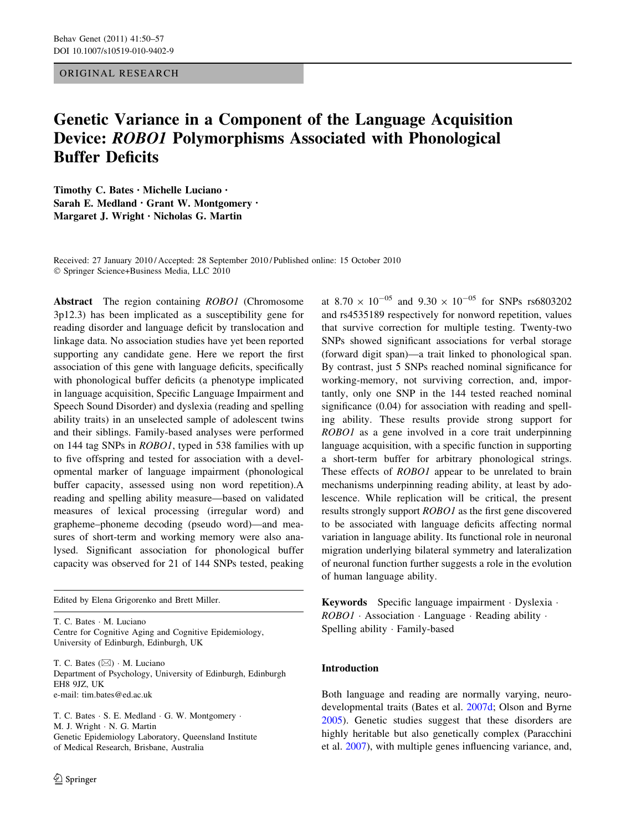# ORIGINAL RESEARCH

# Genetic Variance in a Component of the Language Acquisition Device: ROBO1 Polymorphisms Associated with Phonological Buffer Deficits

Timothy C. Bates • Michelle Luciano • Sarah E. Medland • Grant W. Montgomery • Margaret J. Wright • Nicholas G. Martin

Received: 27 January 2010 / Accepted: 28 September 2010 / Published online: 15 October 2010 - Springer Science+Business Media, LLC 2010

Abstract The region containing *ROBO1* (Chromosome 3p12.3) has been implicated as a susceptibility gene for reading disorder and language deficit by translocation and linkage data. No association studies have yet been reported supporting any candidate gene. Here we report the first association of this gene with language deficits, specifically with phonological buffer deficits (a phenotype implicated in language acquisition, Specific Language Impairment and Speech Sound Disorder) and dyslexia (reading and spelling ability traits) in an unselected sample of adolescent twins and their siblings. Family-based analyses were performed on 144 tag SNPs in ROBO1, typed in 538 families with up to five offspring and tested for association with a developmental marker of language impairment (phonological buffer capacity, assessed using non word repetition).A reading and spelling ability measure—based on validated measures of lexical processing (irregular word) and grapheme–phoneme decoding (pseudo word)—and measures of short-term and working memory were also analysed. Significant association for phonological buffer capacity was observed for 21 of 144 SNPs tested, peaking

Edited by Elena Grigorenko and Brett Miller.

T. C. Bates - M. Luciano Centre for Cognitive Aging and Cognitive Epidemiology, University of Edinburgh, Edinburgh, UK

T. C. Bates  $(\boxtimes) \cdot M$ . Luciano Department of Psychology, University of Edinburgh, Edinburgh EH8 9JZ, UK e-mail: tim.bates@ed.ac.uk

T. C. Bates · S. E. Medland · G. W. Montgomery · M. J. Wright - N. G. Martin Genetic Epidemiology Laboratory, Queensland Institute of Medical Research, Brisbane, Australia

at  $8.70 \times 10^{-05}$  and  $9.30 \times 10^{-05}$  for SNPs rs6803202 and rs4535189 respectively for nonword repetition, values that survive correction for multiple testing. Twenty-two SNPs showed significant associations for verbal storage (forward digit span)—a trait linked to phonological span. By contrast, just 5 SNPs reached nominal significance for working-memory, not surviving correction, and, importantly, only one SNP in the 144 tested reached nominal significance (0.04) for association with reading and spelling ability. These results provide strong support for ROBO1 as a gene involved in a core trait underpinning language acquisition, with a specific function in supporting a short-term buffer for arbitrary phonological strings. These effects of *ROBO1* appear to be unrelated to brain mechanisms underpinning reading ability, at least by adolescence. While replication will be critical, the present results strongly support ROBO1 as the first gene discovered to be associated with language deficits affecting normal variation in language ability. Its functional role in neuronal migration underlying bilateral symmetry and lateralization of neuronal function further suggests a role in the evolution of human language ability.

Keywords Specific language impairment - Dyslexia - ROBO1 · Association · Language · Reading ability · Spelling ability - Family-based

# Introduction

Both language and reading are normally varying, neurodevelopmental traits (Bates et al. [2007d](#page-6-0); Olson and Byrne [2005](#page-7-0)). Genetic studies suggest that these disorders are highly heritable but also genetically complex (Paracchini et al. [2007\)](#page-7-0), with multiple genes influencing variance, and,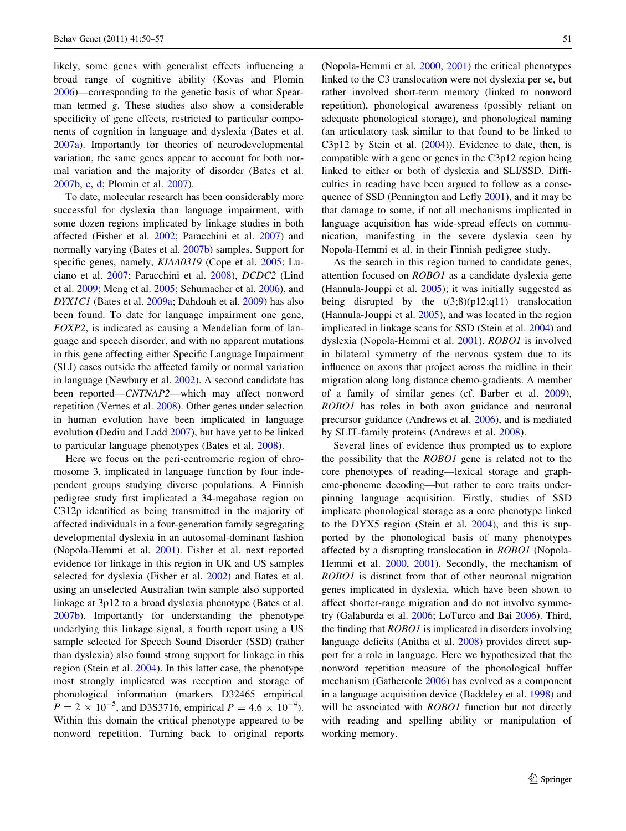likely, some genes with generalist effects influencing a broad range of cognitive ability (Kovas and Plomin [2006\)](#page-7-0)—corresponding to the genetic basis of what Spearman termed g. These studies also show a considerable specificity of gene effects, restricted to particular components of cognition in language and dyslexia (Bates et al. [2007a](#page-6-0)). Importantly for theories of neurodevelopmental variation, the same genes appear to account for both normal variation and the majority of disorder (Bates et al. [2007b,](#page-6-0) [c](#page-6-0), [d](#page-6-0); Plomin et al. [2007](#page-7-0)).

To date, molecular research has been considerably more successful for dyslexia than language impairment, with some dozen regions implicated by linkage studies in both affected (Fisher et al. [2002;](#page-7-0) Paracchini et al. [2007\)](#page-7-0) and normally varying (Bates et al. [2007b](#page-6-0)) samples. Support for specific genes, namely, *KIAA0319* (Cope et al. [2005](#page-6-0); Luciano et al. [2007;](#page-7-0) Paracchini et al. [2008](#page-7-0)), DCDC2 (Lind et al. [2009](#page-7-0); Meng et al. [2005;](#page-7-0) Schumacher et al. [2006](#page-7-0)), and DYX1C1 (Bates et al. [2009a](#page-6-0); Dahdouh et al. [2009](#page-6-0)) has also been found. To date for language impairment one gene, FOXP2, is indicated as causing a Mendelian form of language and speech disorder, and with no apparent mutations in this gene affecting either Specific Language Impairment (SLI) cases outside the affected family or normal variation in language (Newbury et al. [2002\)](#page-7-0). A second candidate has been reported—CNTNAP2—which may affect nonword repetition (Vernes et al. [2008\)](#page-7-0). Other genes under selection in human evolution have been implicated in language evolution (Dediu and Ladd [2007\)](#page-7-0), but have yet to be linked to particular language phenotypes (Bates et al. [2008\)](#page-6-0).

Here we focus on the peri-centromeric region of chromosome 3, implicated in language function by four independent groups studying diverse populations. A Finnish pedigree study first implicated a 34-megabase region on C312p identified as being transmitted in the majority of affected individuals in a four-generation family segregating developmental dyslexia in an autosomal-dominant fashion (Nopola-Hemmi et al. [2001\)](#page-7-0). Fisher et al. next reported evidence for linkage in this region in UK and US samples selected for dyslexia (Fisher et al. [2002\)](#page-7-0) and Bates et al. using an unselected Australian twin sample also supported linkage at 3p12 to a broad dyslexia phenotype (Bates et al. [2007b\)](#page-6-0). Importantly for understanding the phenotype underlying this linkage signal, a fourth report using a US sample selected for Speech Sound Disorder (SSD) (rather than dyslexia) also found strong support for linkage in this region (Stein et al. [2004\)](#page-7-0). In this latter case, the phenotype most strongly implicated was reception and storage of phonological information (markers D32465 empirical  $P = 2 \times 10^{-5}$ , and D3S3716, empirical  $P = 4.6 \times 10^{-4}$ ). Within this domain the critical phenotype appeared to be nonword repetition. Turning back to original reports (Nopola-Hemmi et al. [2000](#page-7-0), [2001](#page-7-0)) the critical phenotypes linked to the C3 translocation were not dyslexia per se, but rather involved short-term memory (linked to nonword repetition), phonological awareness (possibly reliant on adequate phonological storage), and phonological naming (an articulatory task similar to that found to be linked to C3p12 by Stein et al. [\(2004](#page-7-0))). Evidence to date, then, is compatible with a gene or genes in the C3p12 region being linked to either or both of dyslexia and SLI/SSD. Difficulties in reading have been argued to follow as a consequence of SSD (Pennington and Lefly [2001](#page-7-0)), and it may be that damage to some, if not all mechanisms implicated in language acquisition has wide-spread effects on communication, manifesting in the severe dyslexia seen by Nopola-Hemmi et al. in their Finnish pedigree study.

As the search in this region turned to candidate genes, attention focused on ROBO1 as a candidate dyslexia gene (Hannula-Jouppi et al. [2005\)](#page-7-0); it was initially suggested as being disrupted by the  $t(3,8)(p12;q11)$  translocation (Hannula-Jouppi et al. [2005](#page-7-0)), and was located in the region implicated in linkage scans for SSD (Stein et al. [2004\)](#page-7-0) and dyslexia (Nopola-Hemmi et al. [2001\)](#page-7-0). ROBO1 is involved in bilateral symmetry of the nervous system due to its influence on axons that project across the midline in their migration along long distance chemo-gradients. A member of a family of similar genes (cf. Barber et al. [2009](#page-6-0)), ROBO1 has roles in both axon guidance and neuronal precursor guidance (Andrews et al. [2006](#page-6-0)), and is mediated by SLIT-family proteins (Andrews et al. [2008](#page-6-0)).

Several lines of evidence thus prompted us to explore the possibility that the ROBO1 gene is related not to the core phenotypes of reading—lexical storage and grapheme-phoneme decoding—but rather to core traits underpinning language acquisition. Firstly, studies of SSD implicate phonological storage as a core phenotype linked to the DYX5 region (Stein et al. [2004\)](#page-7-0), and this is supported by the phonological basis of many phenotypes affected by a disrupting translocation in ROBO1 (Nopola-Hemmi et al. [2000,](#page-7-0) [2001](#page-7-0)). Secondly, the mechanism of ROBO1 is distinct from that of other neuronal migration genes implicated in dyslexia, which have been shown to affect shorter-range migration and do not involve symmetry (Galaburda et al. [2006;](#page-7-0) LoTurco and Bai [2006\)](#page-7-0). Third, the finding that ROBO1 is implicated in disorders involving language deficits (Anitha et al. [2008](#page-6-0)) provides direct support for a role in language. Here we hypothesized that the nonword repetition measure of the phonological buffer mechanism (Gathercole [2006\)](#page-7-0) has evolved as a component in a language acquisition device (Baddeley et al. [1998\)](#page-6-0) and will be associated with *ROBO1* function but not directly with reading and spelling ability or manipulation of working memory.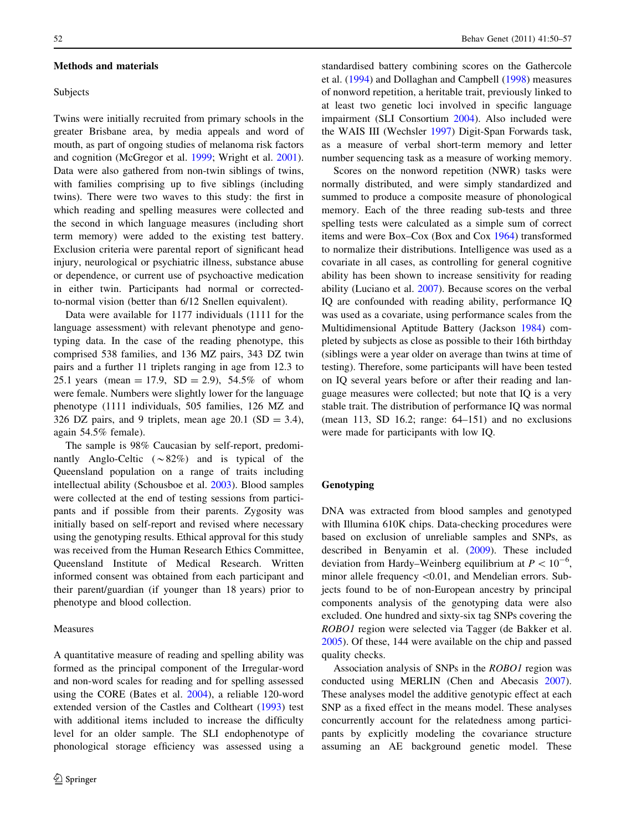#### Methods and materials

### Subjects

Twins were initially recruited from primary schools in the greater Brisbane area, by media appeals and word of mouth, as part of ongoing studies of melanoma risk factors and cognition (McGregor et al. [1999;](#page-7-0) Wright et al. [2001](#page-7-0)). Data were also gathered from non-twin siblings of twins, with families comprising up to five siblings (including twins). There were two waves to this study: the first in which reading and spelling measures were collected and the second in which language measures (including short term memory) were added to the existing test battery. Exclusion criteria were parental report of significant head injury, neurological or psychiatric illness, substance abuse or dependence, or current use of psychoactive medication in either twin. Participants had normal or correctedto-normal vision (better than 6/12 Snellen equivalent).

Data were available for 1177 individuals (1111 for the language assessment) with relevant phenotype and genotyping data. In the case of the reading phenotype, this comprised 538 families, and 136 MZ pairs, 343 DZ twin pairs and a further 11 triplets ranging in age from 12.3 to 25.1 years (mean = 17.9,  $SD = 2.9$ ), 54.5% of whom were female. Numbers were slightly lower for the language phenotype (1111 individuals, 505 families, 126 MZ and 326 DZ pairs, and 9 triplets, mean age 20.1 (SD = 3.4), again 54.5% female).

The sample is 98% Caucasian by self-report, predominantly Anglo-Celtic  $(\sim 82\%)$  and is typical of the Queensland population on a range of traits including intellectual ability (Schousboe et al. [2003](#page-7-0)). Blood samples were collected at the end of testing sessions from participants and if possible from their parents. Zygosity was initially based on self-report and revised where necessary using the genotyping results. Ethical approval for this study was received from the Human Research Ethics Committee, Queensland Institute of Medical Research. Written informed consent was obtained from each participant and their parent/guardian (if younger than 18 years) prior to phenotype and blood collection.

# Measures

A quantitative measure of reading and spelling ability was formed as the principal component of the Irregular-word and non-word scales for reading and for spelling assessed using the CORE (Bates et al. [2004\)](#page-6-0), a reliable 120-word extended version of the Castles and Coltheart [\(1993](#page-6-0)) test with additional items included to increase the difficulty level for an older sample. The SLI endophenotype of phonological storage efficiency was assessed using a standardised battery combining scores on the Gathercole et al. ([1994\)](#page-7-0) and Dollaghan and Campbell [\(1998](#page-7-0)) measures of nonword repetition, a heritable trait, previously linked to at least two genetic loci involved in specific language impairment (SLI Consortium [2004\)](#page-7-0). Also included were the WAIS III (Wechsler [1997\)](#page-7-0) Digit-Span Forwards task, as a measure of verbal short-term memory and letter number sequencing task as a measure of working memory.

Scores on the nonword repetition (NWR) tasks were normally distributed, and were simply standardized and summed to produce a composite measure of phonological memory. Each of the three reading sub-tests and three spelling tests were calculated as a simple sum of correct items and were Box–Cox (Box and Cox [1964\)](#page-6-0) transformed to normalize their distributions. Intelligence was used as a covariate in all cases, as controlling for general cognitive ability has been shown to increase sensitivity for reading ability (Luciano et al. [2007](#page-7-0)). Because scores on the verbal IQ are confounded with reading ability, performance IQ was used as a covariate, using performance scales from the Multidimensional Aptitude Battery (Jackson [1984\)](#page-7-0) completed by subjects as close as possible to their 16th birthday (siblings were a year older on average than twins at time of testing). Therefore, some participants will have been tested on IQ several years before or after their reading and language measures were collected; but note that IQ is a very stable trait. The distribution of performance IQ was normal (mean 113, SD 16.2; range: 64–151) and no exclusions were made for participants with low IQ.

## Genotyping

DNA was extracted from blood samples and genotyped with Illumina 610K chips. Data-checking procedures were based on exclusion of unreliable samples and SNPs, as described in Benyamin et al. ([2009\)](#page-6-0). These included deviation from Hardy–Weinberg equilibrium at  $P < 10^{-6}$ , minor allele frequency  $\leq 0.01$ , and Mendelian errors. Subjects found to be of non-European ancestry by principal components analysis of the genotyping data were also excluded. One hundred and sixty-six tag SNPs covering the ROBO1 region were selected via Tagger (de Bakker et al. [2005](#page-7-0)). Of these, 144 were available on the chip and passed quality checks.

Association analysis of SNPs in the ROBO1 region was conducted using MERLIN (Chen and Abecasis [2007](#page-6-0)). These analyses model the additive genotypic effect at each SNP as a fixed effect in the means model. These analyses concurrently account for the relatedness among participants by explicitly modeling the covariance structure assuming an AE background genetic model. These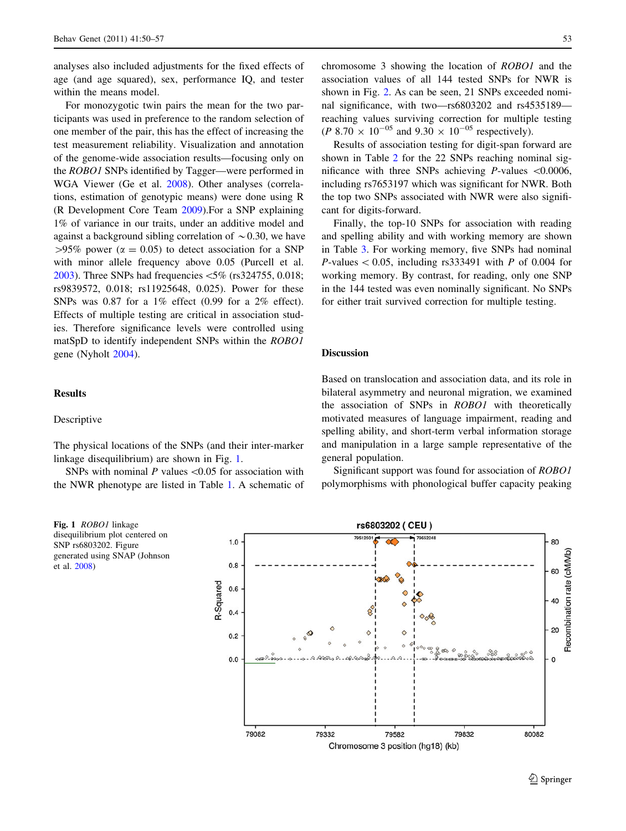analyses also included adjustments for the fixed effects of age (and age squared), sex, performance IQ, and tester within the means model.

For monozygotic twin pairs the mean for the two participants was used in preference to the random selection of one member of the pair, this has the effect of increasing the test measurement reliability. Visualization and annotation of the genome-wide association results—focusing only on the ROBO1 SNPs identified by Tagger—were performed in WGA Viewer (Ge et al. [2008\)](#page-7-0). Other analyses (correlations, estimation of genotypic means) were done using R (R Development Core Team [2009\)](#page-7-0).For a SNP explaining 1% of variance in our traits, under an additive model and against a background sibling correlation of  $\sim 0.30$ , we have  $>95\%$  power ( $\alpha = 0.05$ ) to detect association for a SNP with minor allele frequency above 0.05 (Purcell et al. [2003\)](#page-7-0). Three SNPs had frequencies  $\langle 5\%$  (rs324755, 0.018; rs9839572, 0.018; rs11925648, 0.025). Power for these SNPs was 0.87 for a 1% effect (0.99 for a 2% effect). Effects of multiple testing are critical in association studies. Therefore significance levels were controlled using matSpD to identify independent SNPs within the ROBO1 gene (Nyholt [2004\)](#page-7-0).

# Results

#### Descriptive

The physical locations of the SNPs (and their inter-marker linkage disequilibrium) are shown in Fig. 1.

SNPs with nominal  $P$  values < 0.05 for association with the NWR phenotype are listed in Table [1](#page-4-0). A schematic of

Fig. 1 *ROBO1* linkage disequilibrium plot centered on SNP rs6803202. Figure generated using SNAP (Johnson et al. [2008](#page-7-0))

chromosome 3 showing the location of ROBO1 and the association values of all 144 tested SNPs for NWR is shown in Fig. [2.](#page-4-0) As can be seen, 21 SNPs exceeded nominal significance, with two—rs6803202 and rs4535189 reaching values surviving correction for multiple testing  $(P 8.70 \times 10^{-05} \text{ and } 9.30 \times 10^{-05} \text{ respectively}).$ 

Results of association testing for digit-span forward are shown in Table [2](#page-5-0) for the 22 SNPs reaching nominal significance with three SNPs achieving *P*-values  $\leq 0.0006$ , including rs7653197 which was significant for NWR. Both the top two SNPs associated with NWR were also significant for digits-forward.

Finally, the top-10 SNPs for association with reading and spelling ability and with working memory are shown in Table [3.](#page-5-0) For working memory, five SNPs had nominal *P*-values  $\lt$  0.05, including rs333491 with *P* of 0.004 for working memory. By contrast, for reading, only one SNP in the 144 tested was even nominally significant. No SNPs for either trait survived correction for multiple testing.

## Discussion

Based on translocation and association data, and its role in bilateral asymmetry and neuronal migration, we examined the association of SNPs in ROBO1 with theoretically motivated measures of language impairment, reading and spelling ability, and short-term verbal information storage and manipulation in a large sample representative of the general population.

Significant support was found for association of ROBO1 polymorphisms with phonological buffer capacity peaking

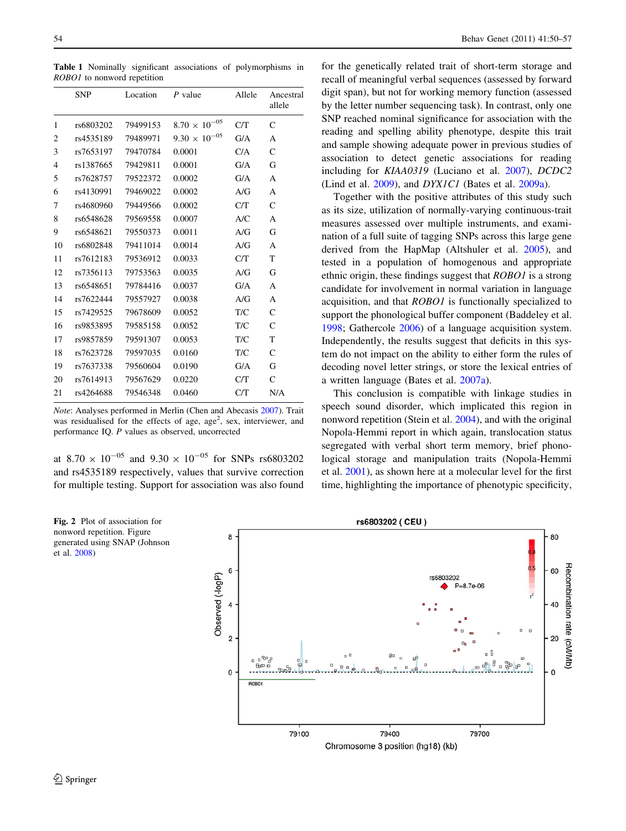Table 1 Nominally significant associations of polymorphisms in ROBO1 to nonword repetition

|                | <b>SNP</b> | Location | P value                | Allele | Ancestral<br>allele |
|----------------|------------|----------|------------------------|--------|---------------------|
| 1              | rs6803202  | 79499153 | $8.70 \times 10^{-05}$ | C/T    | $\mathcal{C}$       |
| $\overline{2}$ | rs4535189  | 79489971 | $9.30 \times 10^{-05}$ | G/A    | A                   |
| 3              | rs7653197  | 79470784 | 0.0001                 | C/A    | $\mathcal{C}$       |
| $\overline{4}$ | rs1387665  | 79429811 | 0.0001                 | G/A    | G                   |
| 5              | rs7628757  | 79522372 | 0.0002                 | G/A    | A                   |
| 6              | rs4130991  | 79469022 | 0.0002                 | A/G    | A                   |
| 7              | rs4680960  | 79449566 | 0.0002                 | C/T    | $\mathsf{C}$        |
| 8              | rs6548628  | 79569558 | 0.0007                 | A/C    | A                   |
| 9              | rs6548621  | 79550373 | 0.0011                 | A/G    | G                   |
| 10             | rs6802848  | 79411014 | 0.0014                 | A/G    | A                   |
| 11             | rs7612183  | 79536912 | 0.0033                 | C/T    | T                   |
| 12             | rs7356113  | 79753563 | 0.0035                 | A/G    | G                   |
| 13             | rs6548651  | 79784416 | 0.0037                 | G/A    | A                   |
| 14             | rs7622444  | 79557927 | 0.0038                 | A/G    | A                   |
| 15             | rs7429525  | 79678609 | 0.0052                 | T/C    | $\mathcal{C}$       |
| 16             | rs9853895  | 79585158 | 0.0052                 | T/C    | $\mathsf{C}$        |
| 17             | rs9857859  | 79591307 | 0.0053                 | T/C    | T                   |
| 18             | rs7623728  | 79597035 | 0.0160                 | T/C    | $\mathsf{C}$        |
| 19             | rs7637338  | 79560604 | 0.0190                 | G/A    | G                   |
| 20             | rs7614913  | 79567629 | 0.0220                 | C/T    | $\mathsf{C}$        |
| 21             | rs4264688  | 79546348 | 0.0460                 | C/T    | N/A                 |

Note: Analyses performed in Merlin (Chen and Abecasis [2007](#page-6-0)). Trait was residualised for the effects of age, age<sup>2</sup>, sex, interviewer, and performance IQ. P values as observed, uncorrected

at  $8.70 \times 10^{-05}$  and  $9.30 \times 10^{-05}$  for SNPs rs6803202 and rs4535189 respectively, values that survive correction for multiple testing. Support for association was also found

<span id="page-4-0"></span>54 Behav Genet (2011) 41:50–57

for the genetically related trait of short-term storage and recall of meaningful verbal sequences (assessed by forward digit span), but not for working memory function (assessed by the letter number sequencing task). In contrast, only one SNP reached nominal significance for association with the reading and spelling ability phenotype, despite this trait and sample showing adequate power in previous studies of association to detect genetic associations for reading including for KIAA0319 (Luciano et al. [2007\)](#page-7-0), DCDC2 (Lind et al. [2009](#page-7-0)), and *DYX1C1* (Bates et al. [2009a](#page-6-0)).

Together with the positive attributes of this study such as its size, utilization of normally-varying continuous-trait measures assessed over multiple instruments, and examination of a full suite of tagging SNPs across this large gene derived from the HapMap (Altshuler et al. [2005\)](#page-6-0), and tested in a population of homogenous and appropriate ethnic origin, these findings suggest that ROBO1 is a strong candidate for involvement in normal variation in language acquisition, and that ROBO1 is functionally specialized to support the phonological buffer component (Baddeley et al. [1998](#page-6-0); Gathercole [2006\)](#page-7-0) of a language acquisition system. Independently, the results suggest that deficits in this system do not impact on the ability to either form the rules of decoding novel letter strings, or store the lexical entries of a written language (Bates et al. [2007a](#page-6-0)).

This conclusion is compatible with linkage studies in speech sound disorder, which implicated this region in nonword repetition (Stein et al. [2004](#page-7-0)), and with the original Nopola-Hemmi report in which again, translocation status segregated with verbal short term memory, brief phonological storage and manipulation traits (Nopola-Hemmi et al. [2001\)](#page-7-0), as shown here at a molecular level for the first time, highlighting the importance of phenotypic specificity,



Fig. 2 Plot of association for nonword repetition. Figure generated using SNAP (Johnson et al. [2008](#page-7-0))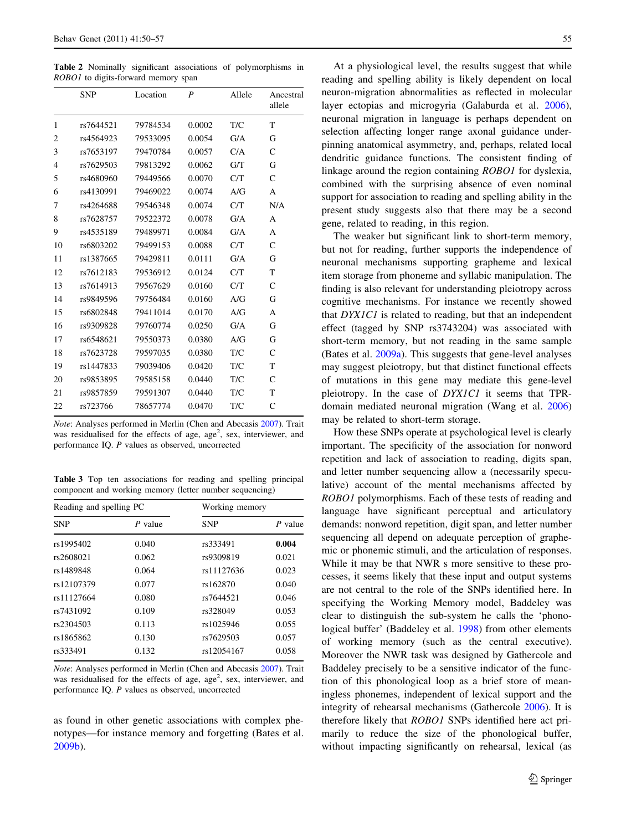<span id="page-5-0"></span>Table 2 Nominally significant associations of polymorphisms in ROBO1 to digits-forward memory span

|                | <b>SNP</b> | Location | P      | Allele | Ancestral<br>allele |
|----------------|------------|----------|--------|--------|---------------------|
| 1              | rs7644521  | 79784534 | 0.0002 | T/C    | T                   |
| 2              | rs4564923  | 79533095 | 0.0054 | G/A    | G                   |
| 3              | rs7653197  | 79470784 | 0.0057 | C/A    | $\mathsf{C}$        |
| $\overline{4}$ | rs7629503  | 79813292 | 0.0062 | G/T    | G                   |
| 5              | rs4680960  | 79449566 | 0.0070 | C/T    | $\mathsf{C}$        |
| 6              | rs4130991  | 79469022 | 0.0074 | A/G    | A                   |
| 7              | rs4264688  | 79546348 | 0.0074 | C/T    | N/A                 |
| 8              | rs7628757  | 79522372 | 0.0078 | G/A    | A                   |
| 9              | rs4535189  | 79489971 | 0.0084 | G/A    | A                   |
| 10             | rs6803202  | 79499153 | 0.0088 | C/T    | $\mathsf{C}$        |
| 11             | rs1387665  | 79429811 | 0.0111 | G/A    | G                   |
| 12             | rs7612183  | 79536912 | 0.0124 | C/T    | T                   |
| 13             | rs7614913  | 79567629 | 0.0160 | C/T    | $\mathcal{C}$       |
| 14             | rs9849596  | 79756484 | 0.0160 | A/G    | G                   |
| 15             | rs6802848  | 79411014 | 0.0170 | A/G    | A                   |
| 16             | rs9309828  | 79760774 | 0.0250 | G/A    | G                   |
| 17             | rs6548621  | 79550373 | 0.0380 | A/G    | G                   |
| 18             | rs7623728  | 79597035 | 0.0380 | T/C    | $\mathcal{C}$       |
| 19             | rs1447833  | 79039406 | 0.0420 | T/C    | T                   |
| 20             | rs9853895  | 79585158 | 0.0440 | T/C    | $\mathcal{C}$       |
| 21             | rs9857859  | 79591307 | 0.0440 | T/C    | T                   |
| 22             | rs723766   | 78657774 | 0.0470 | T/C    | Ċ                   |
|                |            |          |        |        |                     |

Note: Analyses performed in Merlin (Chen and Abecasis [2007](#page-6-0)). Trait was residualised for the effects of age, age<sup>2</sup>, sex, interviewer, and performance IQ. P values as observed, uncorrected

Table 3 Top ten associations for reading and spelling principal component and working memory (letter number sequencing)

| Reading and spelling PC |           | Working memory |           |  |
|-------------------------|-----------|----------------|-----------|--|
| <b>SNP</b>              | $P$ value | <b>SNP</b>     | $P$ value |  |
| rs1995402               | 0.040     | rs333491       | 0.004     |  |
| rs2608021               | 0.062     | rs9309819      | 0.021     |  |
| rs1489848               | 0.064     | rs11127636     | 0.023     |  |
| rs12107379              | 0.077     | rs162870       | 0.040     |  |
| rs11127664              | 0.080     | rs7644521      | 0.046     |  |
| rs7431092               | 0.109     | rs328049       | 0.053     |  |
| rs2304503               | 0.113     | rs1025946      | 0.055     |  |
| rs1865862               | 0.130     | rs7629503      | 0.057     |  |
| rs333491                | 0.132     | rs12054167     | 0.058     |  |

Note: Analyses performed in Merlin (Chen and Abecasis [2007](#page-6-0)). Trait was residualised for the effects of age, age<sup>2</sup>, sex, interviewer, and performance IQ. P values as observed, uncorrected

as found in other genetic associations with complex phenotypes—for instance memory and forgetting (Bates et al. [2009b\)](#page-6-0).

At a physiological level, the results suggest that while reading and spelling ability is likely dependent on local neuron-migration abnormalities as reflected in molecular layer ectopias and microgyria (Galaburda et al. [2006](#page-7-0)), neuronal migration in language is perhaps dependent on selection affecting longer range axonal guidance underpinning anatomical asymmetry, and, perhaps, related local dendritic guidance functions. The consistent finding of linkage around the region containing ROBO1 for dyslexia, combined with the surprising absence of even nominal support for association to reading and spelling ability in the present study suggests also that there may be a second gene, related to reading, in this region.

The weaker but significant link to short-term memory, but not for reading, further supports the independence of neuronal mechanisms supporting grapheme and lexical item storage from phoneme and syllabic manipulation. The finding is also relevant for understanding pleiotropy across cognitive mechanisms. For instance we recently showed that DYX1C1 is related to reading, but that an independent effect (tagged by SNP rs3743204) was associated with short-term memory, but not reading in the same sample (Bates et al. [2009a\)](#page-6-0). This suggests that gene-level analyses may suggest pleiotropy, but that distinct functional effects of mutations in this gene may mediate this gene-level pleiotropy. In the case of DYX1C1 it seems that TPRdomain mediated neuronal migration (Wang et al. [2006\)](#page-7-0) may be related to short-term storage.

How these SNPs operate at psychological level is clearly important. The specificity of the association for nonword repetition and lack of association to reading, digits span, and letter number sequencing allow a (necessarily speculative) account of the mental mechanisms affected by ROBO1 polymorphisms. Each of these tests of reading and language have significant perceptual and articulatory demands: nonword repetition, digit span, and letter number sequencing all depend on adequate perception of graphemic or phonemic stimuli, and the articulation of responses. While it may be that NWR s more sensitive to these processes, it seems likely that these input and output systems are not central to the role of the SNPs identified here. In specifying the Working Memory model, Baddeley was clear to distinguish the sub-system he calls the 'phonological buffer' (Baddeley et al. [1998\)](#page-6-0) from other elements of working memory (such as the central executive). Moreover the NWR task was designed by Gathercole and Baddeley precisely to be a sensitive indicator of the function of this phonological loop as a brief store of meaningless phonemes, independent of lexical support and the integrity of rehearsal mechanisms (Gathercole [2006\)](#page-7-0). It is therefore likely that ROBO1 SNPs identified here act primarily to reduce the size of the phonological buffer, without impacting significantly on rehearsal, lexical (as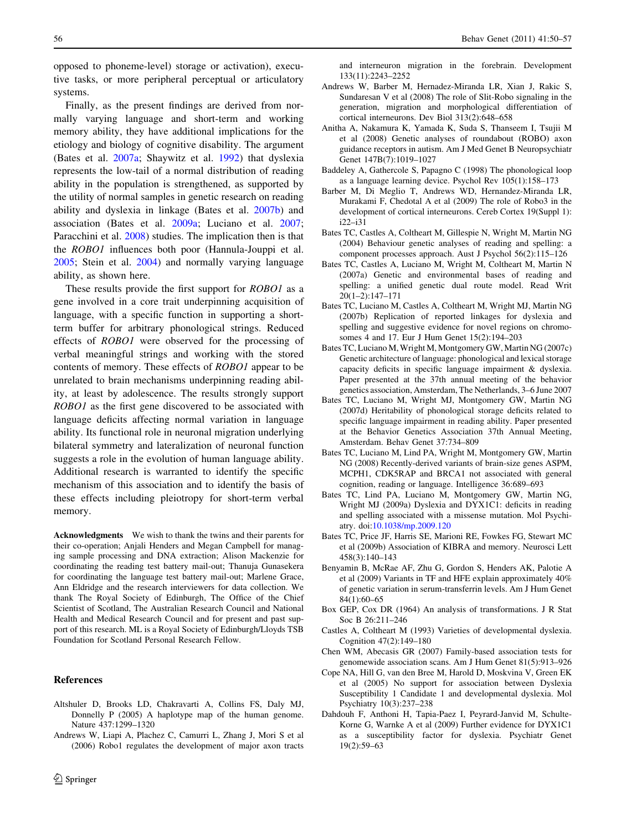<span id="page-6-0"></span>opposed to phoneme-level) storage or activation), executive tasks, or more peripheral perceptual or articulatory systems.

Finally, as the present findings are derived from normally varying language and short-term and working memory ability, they have additional implications for the etiology and biology of cognitive disability. The argument (Bates et al. 2007a; Shaywitz et al. [1992\)](#page-7-0) that dyslexia represents the low-tail of a normal distribution of reading ability in the population is strengthened, as supported by the utility of normal samples in genetic research on reading ability and dyslexia in linkage (Bates et al. 2007b) and association (Bates et al. 2009a; Luciano et al. [2007](#page-7-0); Paracchini et al. [2008\)](#page-7-0) studies. The implication then is that the ROBO1 influences both poor (Hannula-Jouppi et al. [2005;](#page-7-0) Stein et al. [2004\)](#page-7-0) and normally varying language ability, as shown here.

These results provide the first support for ROBO1 as a gene involved in a core trait underpinning acquisition of language, with a specific function in supporting a shortterm buffer for arbitrary phonological strings. Reduced effects of ROBO1 were observed for the processing of verbal meaningful strings and working with the stored contents of memory. These effects of ROBO1 appear to be unrelated to brain mechanisms underpinning reading ability, at least by adolescence. The results strongly support ROBO1 as the first gene discovered to be associated with language deficits affecting normal variation in language ability. Its functional role in neuronal migration underlying bilateral symmetry and lateralization of neuronal function suggests a role in the evolution of human language ability. Additional research is warranted to identify the specific mechanism of this association and to identify the basis of these effects including pleiotropy for short-term verbal memory.

Acknowledgments We wish to thank the twins and their parents for their co-operation; Anjali Henders and Megan Campbell for managing sample processing and DNA extraction; Alison Mackenzie for coordinating the reading test battery mail-out; Thanuja Gunasekera for coordinating the language test battery mail-out; Marlene Grace, Ann Eldridge and the research interviewers for data collection. We thank The Royal Society of Edinburgh, The Office of the Chief Scientist of Scotland, The Australian Research Council and National Health and Medical Research Council and for present and past support of this research. ML is a Royal Society of Edinburgh/Lloyds TSB Foundation for Scotland Personal Research Fellow.

#### References

- Altshuler D, Brooks LD, Chakravarti A, Collins FS, Daly MJ, Donnelly P (2005) A haplotype map of the human genome. Nature 437:1299–1320
- Andrews W, Liapi A, Plachez C, Camurri L, Zhang J, Mori S et al (2006) Robo1 regulates the development of major axon tracts

and interneuron migration in the forebrain. Development 133(11):2243–2252

- Andrews W, Barber M, Hernadez-Miranda LR, Xian J, Rakic S, Sundaresan V et al (2008) The role of Slit-Robo signaling in the generation, migration and morphological differentiation of cortical interneurons. Dev Biol 313(2):648–658
- Anitha A, Nakamura K, Yamada K, Suda S, Thanseem I, Tsujii M et al (2008) Genetic analyses of roundabout (ROBO) axon guidance receptors in autism. Am J Med Genet B Neuropsychiatr Genet 147B(7):1019–1027
- Baddeley A, Gathercole S, Papagno C (1998) The phonological loop as a language learning device. Psychol Rev 105(1):158–173
- Barber M, Di Meglio T, Andrews WD, Hernandez-Miranda LR, Murakami F, Chedotal A et al (2009) The role of Robo3 in the development of cortical interneurons. Cereb Cortex 19(Suppl 1): i22–i31
- Bates TC, Castles A, Coltheart M, Gillespie N, Wright M, Martin NG (2004) Behaviour genetic analyses of reading and spelling: a component processes approach. Aust J Psychol 56(2):115–126
- Bates TC, Castles A, Luciano M, Wright M, Coltheart M, Martin N (2007a) Genetic and environmental bases of reading and spelling: a unified genetic dual route model. Read Writ 20(1–2):147–171
- Bates TC, Luciano M, Castles A, Coltheart M, Wright MJ, Martin NG (2007b) Replication of reported linkages for dyslexia and spelling and suggestive evidence for novel regions on chromosomes 4 and 17. Eur J Hum Genet 15(2):194–203
- Bates TC, Luciano M, Wright M, Montgomery GW, Martin NG (2007c) Genetic architecture of language: phonological and lexical storage capacity deficits in specific language impairment & dyslexia. Paper presented at the 37th annual meeting of the behavior genetics association, Amsterdam, The Netherlands, 3–6 June 2007
- Bates TC, Luciano M, Wright MJ, Montgomery GW, Martin NG (2007d) Heritability of phonological storage deficits related to specific language impairment in reading ability. Paper presented at the Behavior Genetics Association 37th Annual Meeting, Amsterdam. Behav Genet 37:734–809
- Bates TC, Luciano M, Lind PA, Wright M, Montgomery GW, Martin NG (2008) Recently-derived variants of brain-size genes ASPM, MCPH1, CDK5RAP and BRCA1 not associated with general cognition, reading or language. Intelligence 36:689–693
- Bates TC, Lind PA, Luciano M, Montgomery GW, Martin NG, Wright MJ (2009a) Dyslexia and DYX1C1: deficits in reading and spelling associated with a missense mutation. Mol Psychiatry. doi:[10.1038/mp.2009.120](http://dx.doi.org/10.1038/mp.2009.120)
- Bates TC, Price JF, Harris SE, Marioni RE, Fowkes FG, Stewart MC et al (2009b) Association of KIBRA and memory. Neurosci Lett 458(3):140–143
- Benyamin B, McRae AF, Zhu G, Gordon S, Henders AK, Palotie A et al (2009) Variants in TF and HFE explain approximately 40% of genetic variation in serum-transferrin levels. Am J Hum Genet 84(1):60–65
- Box GEP, Cox DR (1964) An analysis of transformations. J R Stat Soc B 26:211–246
- Castles A, Coltheart M (1993) Varieties of developmental dyslexia. Cognition 47(2):149–180
- Chen WM, Abecasis GR (2007) Family-based association tests for genomewide association scans. Am J Hum Genet 81(5):913–926
- Cope NA, Hill G, van den Bree M, Harold D, Moskvina V, Green EK et al (2005) No support for association between Dyslexia Susceptibility 1 Candidate 1 and developmental dyslexia. Mol Psychiatry 10(3):237–238
- Dahdouh F, Anthoni H, Tapia-Paez I, Peyrard-Janvid M, Schulte-Korne G, Warnke A et al (2009) Further evidence for DYX1C1 as a susceptibility factor for dyslexia. Psychiatr Genet 19(2):59–63